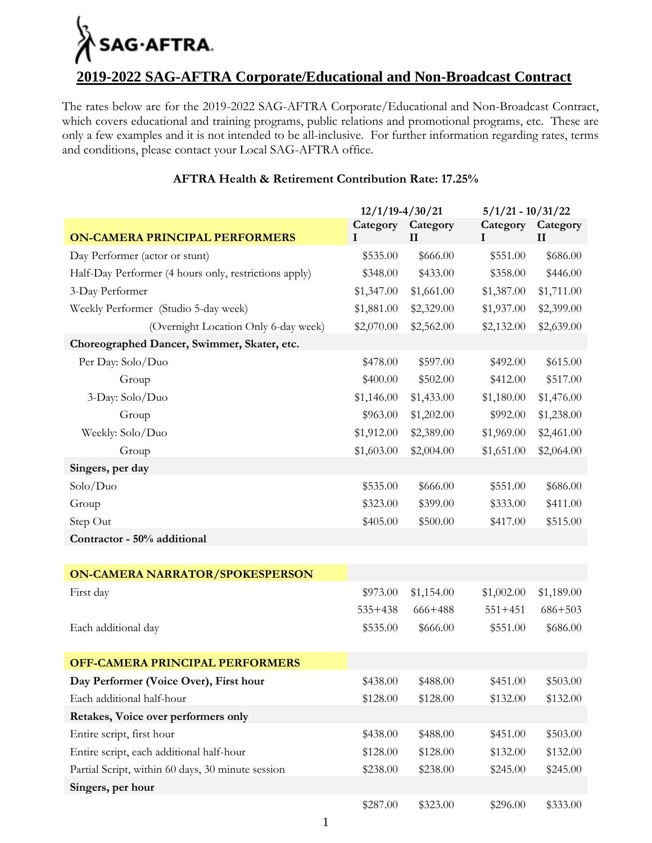# SAG·AFTRA.

#### **2019-2022 SAG-AFTRA Corporate/Educational and Non-Broadcast Contract**

The rates below are for the 2019-2022 SAG-AFTRA Corporate/Educational and Non-Broadcast Contract, which covers educational and training programs, public relations and promotional programs, etc. These are only a few examples and it is not intended to be all-inclusive. For further information regarding rates, terms and conditions, please contact your Local SAG-AFTRA office.

|                                                       | $12/1/19 - 4/30/21$ |                          | $5/1/21 - 10/31/22$ |                          |
|-------------------------------------------------------|---------------------|--------------------------|---------------------|--------------------------|
| <b>ON-CAMERA PRINCIPAL PERFORMERS</b>                 | Category<br>I       | Category<br>$\mathbf{I}$ | Category<br>1       | Category<br>$\mathbf{I}$ |
| Day Performer (actor or stunt)                        | \$535.00            | \$666.00                 | \$551.00            | \$686.00                 |
| Half-Day Performer (4 hours only, restrictions apply) | \$348.00            | \$433.00                 | \$358.00            | \$446.00                 |
| 3-Day Performer                                       | \$1,347.00          | \$1,661.00               | \$1,387.00          | \$1,711.00               |
| Weekly Performer (Studio 5-day week)                  | \$1,881.00          | \$2,329.00               | \$1,937.00          | \$2,399.00               |
| (Overnight Location Only 6-day week)                  | \$2,070.00          | \$2,562.00               | \$2,132.00          | \$2,639.00               |
| Choreographed Dancer, Swimmer, Skater, etc.           |                     |                          |                     |                          |
| Per Day: Solo/Duo                                     | \$478.00            | \$597.00                 | \$492.00            | \$615.00                 |
| Group                                                 | \$400.00            | \$502.00                 | \$412.00            | \$517.00                 |
| 3-Day: Solo/Duo                                       | \$1,146.00          | \$1,433.00               | \$1,180.00          | \$1,476.00               |
| Group                                                 | \$963.00            | \$1,202.00               | \$992.00            | \$1,238.00               |
| Weekly: Solo/Duo                                      | \$1,912.00          | \$2,389.00               | \$1,969.00          | \$2,461.00               |
| Group                                                 | \$1,603.00          | \$2,004.00               | \$1,651.00          | \$2,064.00               |
| Singers, per day                                      |                     |                          |                     |                          |
| Solo/Duo                                              | \$535.00            | \$666.00                 | \$551.00            | \$686.00                 |
| Group                                                 | \$323.00            | \$399.00                 | \$333.00            | \$411.00                 |
| Step Out                                              | \$405.00            | \$500.00                 | \$417.00            | \$515.00                 |
| Contractor - 50% additional                           |                     |                          |                     |                          |
|                                                       |                     |                          |                     |                          |
| <b>ON-CAMERA NARRATOR/SPOKESPERSON</b>                |                     |                          |                     |                          |
| First day                                             | \$973.00            | \$1,154.00               | \$1,002.00          | \$1,189.00               |
|                                                       | $535 + 438$         | 666+488                  | $551 + 451$         | $686 + 503$              |
| Each additional day                                   | \$535.00            | \$666.00                 | \$551.00            | \$686.00                 |
|                                                       |                     |                          |                     |                          |
| <b>OFF-CAMERA PRINCIPAL PERFORMERS</b>                |                     |                          |                     |                          |
| Day Performer (Voice Over), First hour                | \$438.00            | \$488.00                 | \$451.00            | \$503.00                 |
| Each additional half-hour                             | \$128.00            | \$128.00                 | \$132.00            | \$132.00                 |
| Retakes, Voice over performers only                   |                     |                          |                     |                          |
| Entire script, first hour                             | \$438.00            | \$488.00                 | \$451.00            | \$503.00                 |
| Entire script, each additional half-hour              | \$128.00            | \$128.00                 | \$132.00            | \$132.00                 |
| Partial Script, within 60 days, 30 minute session     | \$238.00            | \$238.00                 | \$245.00            | \$245.00                 |
| Singers, per hour                                     |                     |                          |                     |                          |
|                                                       | \$287.00            | \$323.00                 | \$296.00            | \$333.00                 |

#### **AFTRA Health & Retirement Contribution Rate: 17.25%**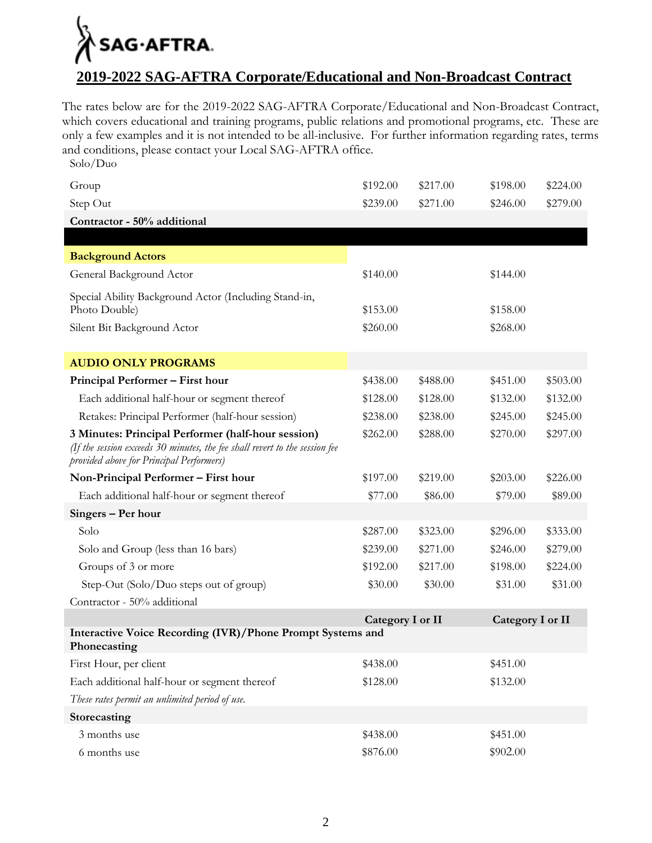## SAG·AFTRA.

#### **2019-2022 SAG-AFTRA Corporate/Educational and Non-Broadcast Contract**

The rates below are for the 2019-2022 SAG-AFTRA Corporate/Educational and Non-Broadcast Contract, which covers educational and training programs, public relations and promotional programs, etc. These are only a few examples and it is not intended to be all-inclusive. For further information regarding rates, terms and conditions, please contact your Local SAG-AFTRA office.

Solo/Duo

| Group                                                                                                                                                                         | \$192.00         | \$217.00 | \$198.00         | \$224.00 |
|-------------------------------------------------------------------------------------------------------------------------------------------------------------------------------|------------------|----------|------------------|----------|
| Step Out                                                                                                                                                                      | \$239.00         | \$271.00 | \$246.00         | \$279.00 |
| Contractor - 50% additional                                                                                                                                                   |                  |          |                  |          |
|                                                                                                                                                                               |                  |          |                  |          |
| <b>Background Actors</b>                                                                                                                                                      |                  |          |                  |          |
| General Background Actor                                                                                                                                                      | \$140.00         |          | \$144.00         |          |
| Special Ability Background Actor (Including Stand-in,<br>Photo Double)                                                                                                        | \$153.00         |          | \$158.00         |          |
| Silent Bit Background Actor                                                                                                                                                   | \$260.00         |          | \$268.00         |          |
| <b>AUDIO ONLY PROGRAMS</b>                                                                                                                                                    |                  |          |                  |          |
| Principal Performer - First hour                                                                                                                                              | \$438.00         | \$488.00 | \$451.00         | \$503.00 |
| Each additional half-hour or segment thereof                                                                                                                                  | \$128.00         | \$128.00 | \$132.00         | \$132.00 |
| Retakes: Principal Performer (half-hour session)                                                                                                                              | \$238.00         | \$238.00 | \$245.00         | \$245.00 |
| 3 Minutes: Principal Performer (half-hour session)<br>(If the session exceeds 30 minutes, the fee shall revert to the session fee<br>provided above for Principal Performers) | \$262.00         | \$288.00 | \$270.00         | \$297.00 |
| Non-Principal Performer - First hour                                                                                                                                          | \$197.00         | \$219.00 | \$203.00         | \$226.00 |
| Each additional half-hour or segment thereof                                                                                                                                  | \$77.00          | \$86.00  | \$79.00          | \$89.00  |
| Singers - Per hour                                                                                                                                                            |                  |          |                  |          |
| Solo                                                                                                                                                                          | \$287.00         | \$323.00 | \$296.00         | \$333.00 |
| Solo and Group (less than 16 bars)                                                                                                                                            | \$239.00         | \$271.00 | \$246.00         | \$279.00 |
| Groups of 3 or more                                                                                                                                                           | \$192.00         | \$217.00 | \$198.00         | \$224.00 |
| Step-Out (Solo/Duo steps out of group)                                                                                                                                        | \$30.00          | \$30.00  | \$31.00          | \$31.00  |
| Contractor - 50% additional                                                                                                                                                   |                  |          |                  |          |
|                                                                                                                                                                               | Category I or II |          | Category I or II |          |
| Interactive Voice Recording (IVR)/Phone Prompt Systems and<br>Phonecasting                                                                                                    |                  |          |                  |          |
| First Hour, per client                                                                                                                                                        | \$438.00         |          | \$451.00         |          |
| Each additional half-hour or segment thereof                                                                                                                                  | \$128.00         |          | \$132.00         |          |
| These rates permit an unlimited period of use.                                                                                                                                |                  |          |                  |          |
| Storecasting                                                                                                                                                                  |                  |          |                  |          |
| 3 months use                                                                                                                                                                  | \$438.00         |          | \$451.00         |          |
| 6 months use                                                                                                                                                                  | \$876.00         |          | \$902.00         |          |